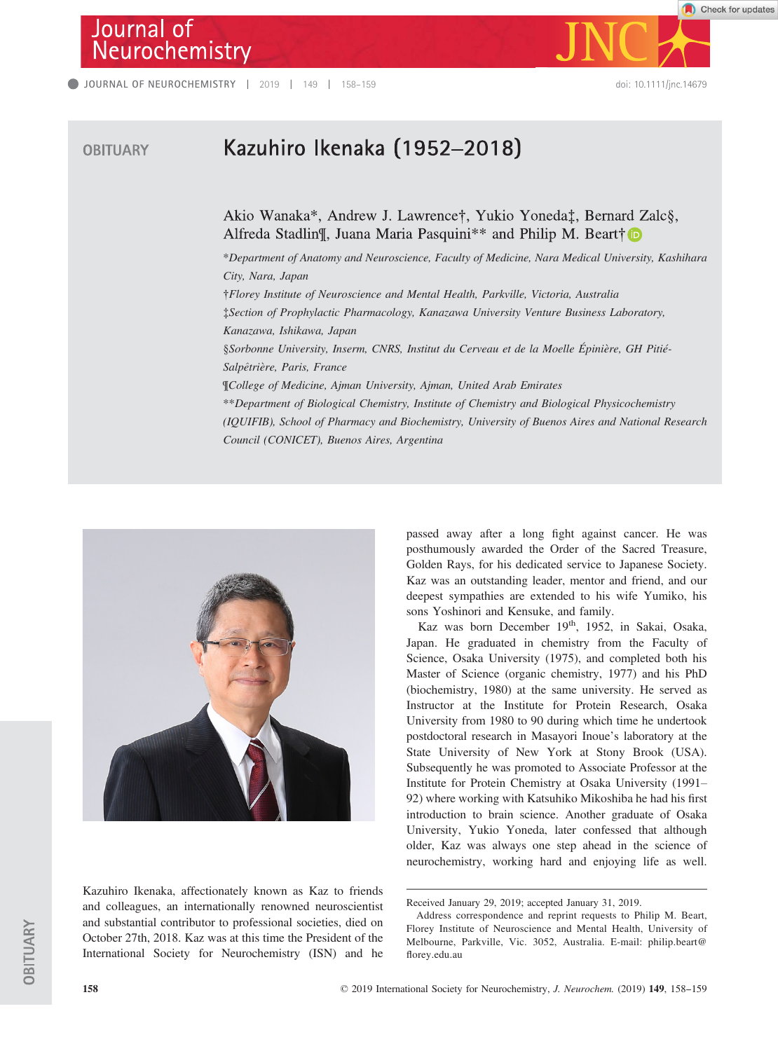## Journal of Neurochemistry

**OBITUARY** 



Check for updates

## Kazuhiro Ikenaka (1952-2018)

Akio Wanaka\*, Andrew J. Lawrence†, Yukio Yoneda‡, Bernard Zalc§, Alfreda Stadlin¶, Juana Maria Pasquini\*\* and Philip M. Beart†

\*Department of Anatomy and Neuroscience, Faculty of Medicine, Nara Medical University, Kashihara City, Nara, Japan †Florey Institute of Neuroscience and Mental Health, Parkville, Victoria, Australia ‡Section of Prophylactic Pharmacology, Kanazawa University Venture Business Laboratory, Kanazawa, Ishikawa, Japan §Sorbonne University, Inserm, CNRS, Institut du Cerveau et de la Moelle Épinière, GH Pitié-Salpêtrière, Paris, France ¶College of Medicine, Ajman University, Ajman, United Arab Emirates \*\*Department of Biological Chemistry, Institute of Chemistry and Biological Physicochemistry (IQUIFIB), School of Pharmacy and Biochemistry, University of Buenos Aires and National Research Council (CONICET), Buenos Aires, Argentina



Kazuhiro Ikenaka, affectionately known as Kaz to friends and colleagues, an internationally renowned neuroscientist and substantial contributor to professional societies, died on October 27th, 2018. Kaz was at this time the President of the International Society for Neurochemistry (ISN) and he passed away after a long fight against cancer. He was posthumously awarded the Order of the Sacred Treasure, Golden Rays, for his dedicated service to Japanese Society. Kaz was an outstanding leader, mentor and friend, and our deepest sympathies are extended to his wife Yumiko, his sons Yoshinori and Kensuke, and family.

Kaz was born December 19<sup>th</sup>, 1952, in Sakai, Osaka, Japan. He graduated in chemistry from the Faculty of Science, Osaka University (1975), and completed both his Master of Science (organic chemistry, 1977) and his PhD (biochemistry, 1980) at the same university. He served as Instructor at the Institute for Protein Research, Osaka University from 1980 to 90 during which time he undertook postdoctoral research in Masayori Inoue's laboratory at the State University of New York at Stony Brook (USA). Subsequently he was promoted to Associate Professor at the Institute for Protein Chemistry at Osaka University (1991– 92) where working with Katsuhiko Mikoshiba he had his first introduction to brain science. Another graduate of Osaka University, Yukio Yoneda, later confessed that although older, Kaz was always one step ahead in the science of neurochemistry, working hard and enjoying life as well.

Received January 29, 2019; accepted January 31, 2019.

Address correspondence and reprint requests to Philip M. Beart, Florey Institute of Neuroscience and Mental Health, University of Melbourne, Parkville, Vic. 3052, Australia. E-mail: philip.beart@ florey.edu.au